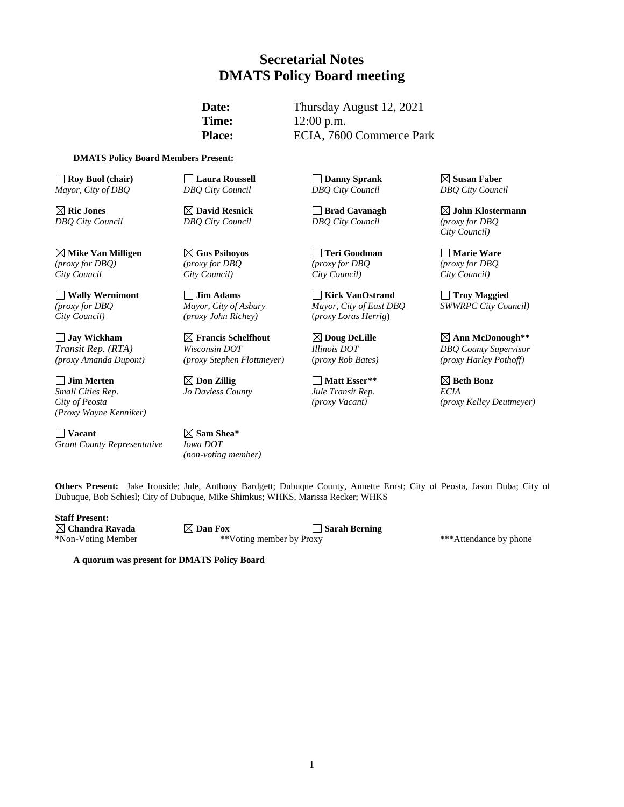## **Secretarial Notes DMATS Policy Board meeting**

**Date:** Thursday August 12, 2021 **Time:** 12:00 p.m. Place: ECIA, 7600 Commerce Park

#### **DMATS Policy Board Members Present:**

**Roy Buol (chair) Laura Roussell Danny Sprank Susan Faber** *Mayor, City of DBQ DBQ City Council DBQ City Council DBQ City Council*

**Mike Van Milligen Gus Psihoyos Teri Goodman Marie Ware** *(proxy for DBQ) (proxy for DBQ (proxy for DBQ (proxy for DBQ City Council City Council) City Council) City Council)*

<table>\n<tbody>\n<tr>\n<th>Jim Merten</th>\n<th>✓ Don Zillig</th>\n<th>✓ Matt Esser\*\*</th>\n<th>✓ Beth Bonz</th>\n</tr>\n<tr>\n<td>Small Cities Rep.</td>\n<td>Jo Davies County</td>\n<td>Jul Francis Rep.</td>\n<td>ECHA</td>\n</tr>\n</tbody>\n</table> *(Proxy Wayne Kenniker)*

**Vacant Sam Shea\***  *Grant County Representative Iowa DOT*

*City Council) (proxy John Richey)* (*proxy Loras Herrig*)

*Transit Rep. (RTA) Wisconsin DOT Illinois DOT DBQ County Supervisor*

*(non-voting member)*

*DBQ City Council DBQ City Council DBQ City Council (proxy for DBQ*

**Wally Wernimont Jim Adams Kirk VanOstrand Troy Maggied** *(proxy for DBQ Mayor, City of Asbury Mayor, City of East DBQ SWWRPC City Council)* 

*Small Cities Rep*. *Jo Daviess County Jule Transit Rep. ECIA*

**Ric Jones David Resnick Brad Cavanagh John Klostermann** *City Council)*

**Jay Wickham Francis Schelfhout Doug DeLille Ann McDonough\*\*** *(proxy Amanda Dupont) (proxy Stephen Flottmeyer)* (*proxy Rob Bates) (proxy Harley Pothoff)*

*City of Peosta (proxy Vacant) (proxy Kelley Deutmeyer)*

**Others Present:** Jake Ironside; Jule, Anthony Bardgett; Dubuque County, Annette Ernst; City of Peosta, Jason Duba; City of Dubuque, Bob Schiesl; City of Dubuque, Mike Shimkus; WHKS, Marissa Recker; WHKS

**Staff Present:**

**Chandra Ravada Dan Fox Sarah Berning** \*Non-Voting Member \*\*Voting member by Proxy \*\*\*Attendance by phone

**A quorum was present for DMATS Policy Board**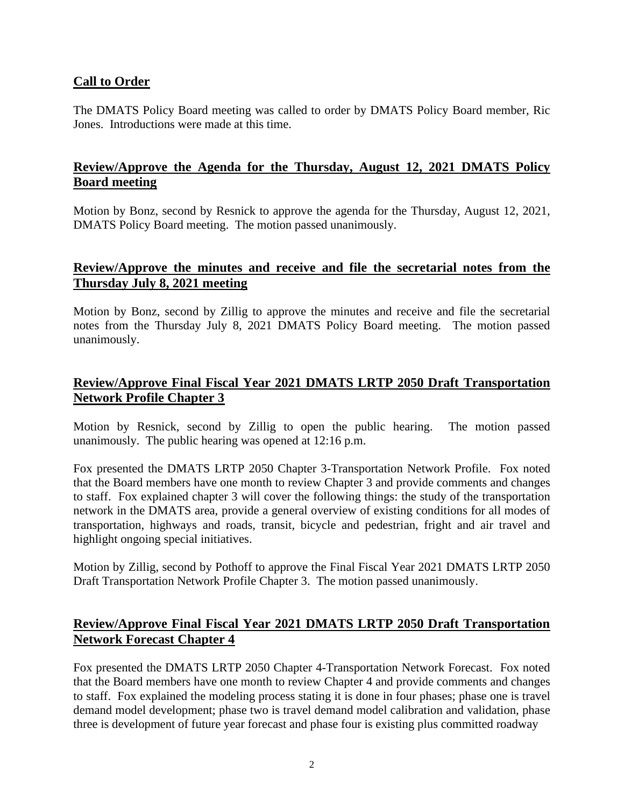## **Call to Order**

The DMATS Policy Board meeting was called to order by DMATS Policy Board member, Ric Jones. Introductions were made at this time.

## **Review/Approve the Agenda for the Thursday, August 12, 2021 DMATS Policy Board meeting**

Motion by Bonz, second by Resnick to approve the agenda for the Thursday, August 12, 2021, DMATS Policy Board meeting. The motion passed unanimously.

## **Review/Approve the minutes and receive and file the secretarial notes from the Thursday July 8, 2021 meeting**

Motion by Bonz, second by Zillig to approve the minutes and receive and file the secretarial notes from the Thursday July 8, 2021 DMATS Policy Board meeting. The motion passed unanimously.

## **Review/Approve Final Fiscal Year 2021 DMATS LRTP 2050 Draft Transportation Network Profile Chapter 3**

Motion by Resnick, second by Zillig to open the public hearing. The motion passed unanimously. The public hearing was opened at 12:16 p.m.

Fox presented the DMATS LRTP 2050 Chapter 3-Transportation Network Profile. Fox noted that the Board members have one month to review Chapter 3 and provide comments and changes to staff. Fox explained chapter 3 will cover the following things: the study of the transportation network in the DMATS area, provide a general overview of existing conditions for all modes of transportation, highways and roads, transit, bicycle and pedestrian, fright and air travel and highlight ongoing special initiatives.

Motion by Zillig, second by Pothoff to approve the Final Fiscal Year 2021 DMATS LRTP 2050 Draft Transportation Network Profile Chapter 3. The motion passed unanimously.

## **Review/Approve Final Fiscal Year 2021 DMATS LRTP 2050 Draft Transportation Network Forecast Chapter 4**

Fox presented the DMATS LRTP 2050 Chapter 4-Transportation Network Forecast. Fox noted that the Board members have one month to review Chapter 4 and provide comments and changes to staff. Fox explained the modeling process stating it is done in four phases; phase one is travel demand model development; phase two is travel demand model calibration and validation, phase three is development of future year forecast and phase four is existing plus committed roadway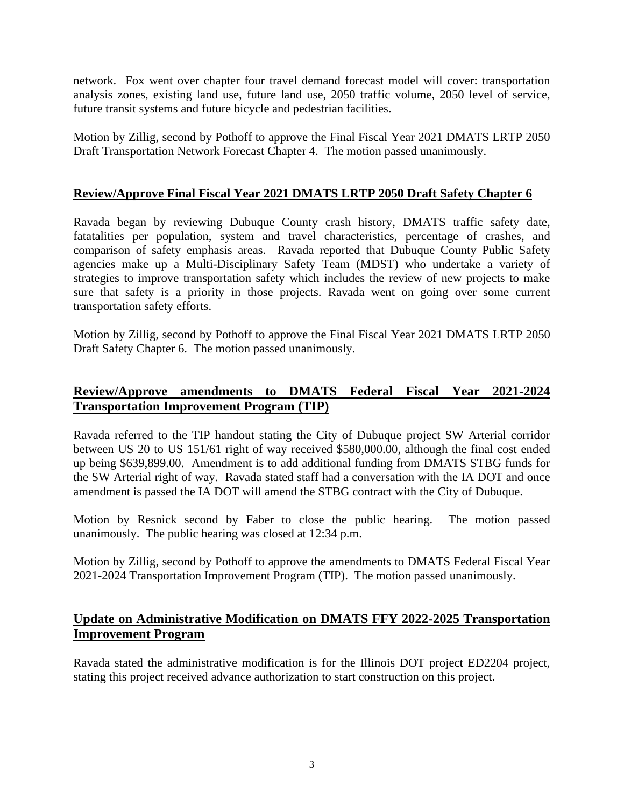network. Fox went over chapter four travel demand forecast model will cover: transportation analysis zones, existing land use, future land use, 2050 traffic volume, 2050 level of service, future transit systems and future bicycle and pedestrian facilities.

Motion by Zillig, second by Pothoff to approve the Final Fiscal Year 2021 DMATS LRTP 2050 Draft Transportation Network Forecast Chapter 4. The motion passed unanimously.

#### **Review/Approve Final Fiscal Year 2021 DMATS LRTP 2050 Draft Safety Chapter 6**

Ravada began by reviewing Dubuque County crash history, DMATS traffic safety date, fatatalities per population, system and travel characteristics, percentage of crashes, and comparison of safety emphasis areas. Ravada reported that Dubuque County Public Safety agencies make up a Multi-Disciplinary Safety Team (MDST) who undertake a variety of strategies to improve transportation safety which includes the review of new projects to make sure that safety is a priority in those projects. Ravada went on going over some current transportation safety efforts.

Motion by Zillig, second by Pothoff to approve the Final Fiscal Year 2021 DMATS LRTP 2050 Draft Safety Chapter 6. The motion passed unanimously.

# **Review/Approve amendments to DMATS Federal Fiscal Year 2021-2024 Transportation Improvement Program (TIP)**

Ravada referred to the TIP handout stating the City of Dubuque project SW Arterial corridor between US 20 to US 151/61 right of way received \$580,000.00, although the final cost ended up being \$639,899.00. Amendment is to add additional funding from DMATS STBG funds for the SW Arterial right of way. Ravada stated staff had a conversation with the IA DOT and once amendment is passed the IA DOT will amend the STBG contract with the City of Dubuque.

Motion by Resnick second by Faber to close the public hearing. The motion passed unanimously. The public hearing was closed at 12:34 p.m.

Motion by Zillig, second by Pothoff to approve the amendments to DMATS Federal Fiscal Year 2021-2024 Transportation Improvement Program (TIP). The motion passed unanimously.

## **Update on Administrative Modification on DMATS FFY 2022-2025 Transportation Improvement Program**

Ravada stated the administrative modification is for the Illinois DOT project ED2204 project, stating this project received advance authorization to start construction on this project.